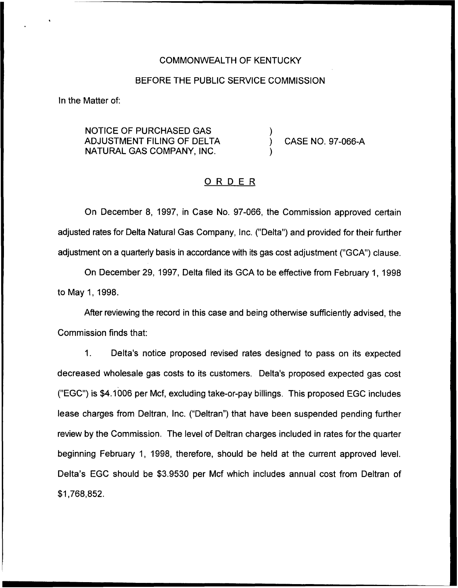#### COMMONWEALTH OF KENTUCKY

### BEFORE THE PUBLIC SERVICE COMMISSION

ln the Matter of:

NOTICE OF PURCHASED GAS ADJUSTMENT FILING OF DELTA NATURAI GAS COMPANY, INC.

) CASE NO. 97-066-A

# ORDER

)

)

On December 8, 1997, in Case No. 97-066, the Commission approved certain adjusted rates for Delta Natural Gas Company, Inc. ("Delta") and provided for their further adjustment on a quarterly basis in accordance with its gas cost adjustment ("GCA") clause.

On December 29, 1997, Delta filed its GCA to be effective from February 1, 1998 to May 1, 1998.

After reviewing the record in this case and being otherwise sufficiently advised, the Commission finds that:

1. Delta's notice proposed revised rates designed to pass on its expected decreased wholesale gas costs to its customers. Delta's proposed expected gas cost ("EGC")is \$4.1006 per Mcf, excluding take-or-pay billings. This proposed EGC includes lease charges from Deltran, Inc. ("Deltran") that have been suspended pending further review by the Commission. The level of Deltran charges included in rates for the quarter beginning February 1, 1998, therefore, should be held at the current approved level. Delta's EGC should be \$3.9530 per Mcf which includes annual cost from Deltran of \$1,768,852.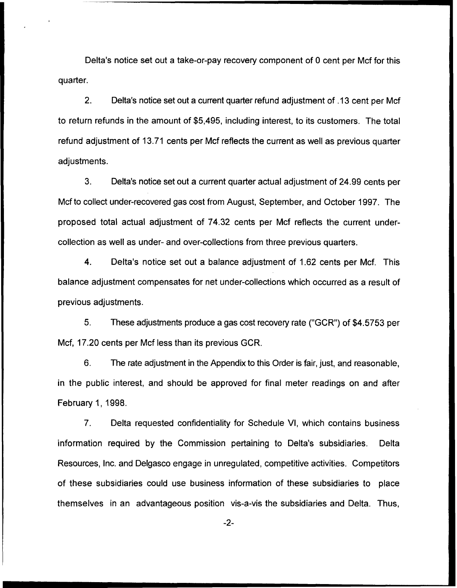Delta's notice set out a take-or-pay recovery component of 0 cent per Mcf for this quarter.

 $2.$ Delta's notice set out a current quarter refund adjustment of .13 cent per Mcf to return refunds in the amount of \$5,495, including interest, to its customers. The total refund adjustment of 13.71 cents per Mcf reflects the current as well as previous quarter adjustments.

3. Delta's notice set out a current quarter actual adjustment of 24.99 cents per Mcf to collect under-recovered gas cost from August, September, and October 1997. The proposed total actual adjustment of 74.32 cents per Mcf reflects the current undercollection as well as under- and over-collections from three previous quarters.

4. Delta's notice set out a balance adjustment of 1.62 cents per Mcf. This balance adjustment compensates for net under-collections which occurred as a result of previous adjustments.

5. These adjustments produce a gas cost recovery rate ("GCR") of \$4.5753 per Mcf, 17.20 cents per Mcf less than its previous GCR.

6. The rate adjustment in the Appendix to this Order is fair, just, and reasonable, in the public interest, and should be approved for final meter readings on and after February 1, 1998.

7. Delta requested confidentiality for Schedule Vl, which contains business information required by the Commission pertaining to Delta's subsidiaries. Delta Resources, Inc. and Delgasco engage in unregulated, competitive activities. Competitors of these subsidiaries could use business information of these subsidiaries to place themselves in an advantageous position vis-a-vis the subsidiaries and Delta. Thus,

 $-2-$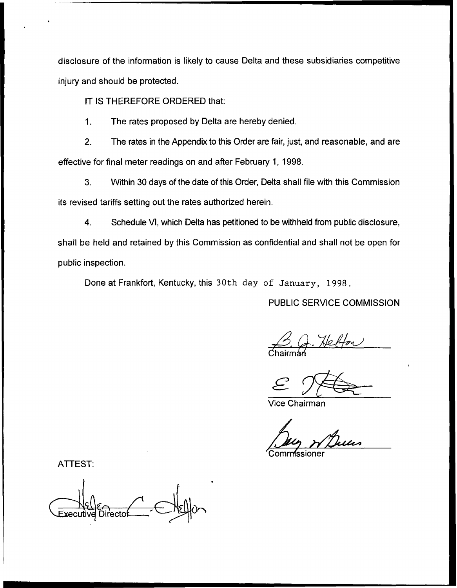disclosure of the information is likely to cause Delta and these subsidiaries competitive injury and should be protected.

IT IS THEREFORE ORDERED that:

1. The rates proposed by Delta are hereby denied.

2. The rates in the Appendix to this Order are fair, just, and reasonable, and are effective for final meter readings on and after February 1, 1998.

3. Within 30 days of the date of this Order, Delta shall file with this Commission its revised tariffs setting out the rates authorized herein.

4. Schedule Vl, which Delta has petitioned to be withheld from public disclosure, shall be held and retained by this Commission as confidential and shall not be open for public inspection.

Done at Frankfort, Kentucky, this 30th day of January, 1998.

PUBLIC SERVICE COMMISSION

Chairm&

Vice Chairman

'Commissioner

ATTEST:

cutive Directol